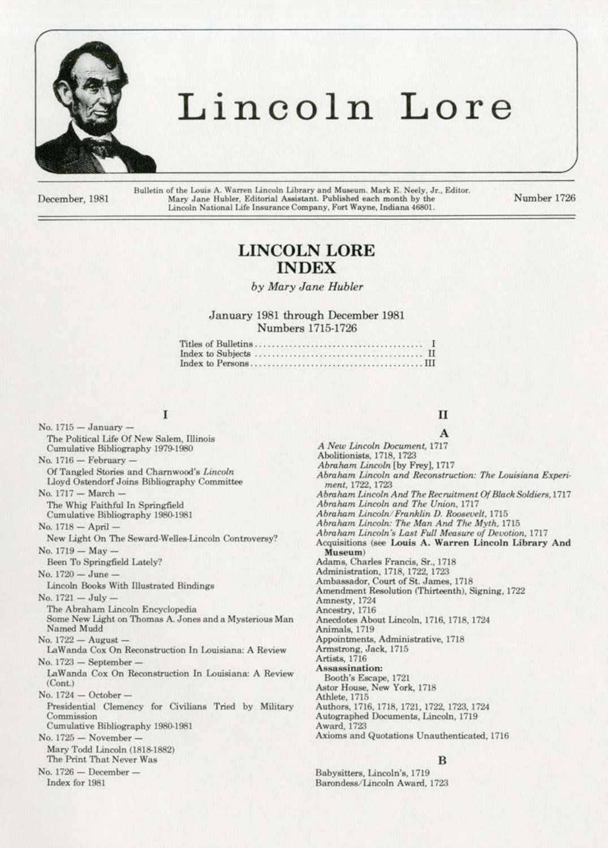

# Lincoln Lore

December, 1981

Bulletin of the Louis A. Warren Lincoln Library and Museum. Mark E. Neely, Jr., Editor. Mary Jane Hubler, Editorial Assistant. Published each month by the Lincoln National Life Insurance Company, Fort Wayne, Indiana 46801.

Number 1726

# **LINCOLN LORE INDEX**

# by Mary Jane Hubler

# January 1981 through December 1981 Numbers 1715-1726

|  | $\pm$ |
|--|-------|
|  |       |
|  |       |

I

No. 1715 - January -The Political Life Of New Salem, Illinois Cumulative Bibliography 1979-1980 No. 1716 - February -Of Tangled Stories and Charnwood's Lincoln Lloyd Ostendorf Joins Bibliography Committee No. 1717 - March The Whig Faithful In Springfield Cumulative Bibliography 1980-1981 No. 1718 - April -New Light On The Seward-Welles-Lincoln Controversy? No.  $1719 - May -$ Been To Springfield Lately? No. 1720 - June Lincoln Books With Illustrated Bindings No. 1721 - July -The Abraham Lincoln Encyclopedia Some New Light on Thomas A. Jones and a Mysterious Man Named Mudd No.  $1722 -$ August -LaWanda Cox On Reconstruction In Louisiana: A Review  $No. 1723$  - September -LaWanda Cox On Reconstruction In Louisiana: A Review  $(Cont.)$ No.  $1724 - October -$ Presidential Clemency for Civilians Tried by Military Commission Cumulative Bibliography 1980-1981 No. 1725 - November Mary Todd Lincoln (1818-1882) The Print That Never Was No. 1726 - December -Index for 1981

# $\mathbf{I}$

A A New Lincoln Document, 1717 Abolitionists, 1718, 1723 Abraham Lincoln [by Frey], 1717 Abraham Lincoln and Reconstruction: The Louisiana Experiment, 1722, 1723 Abraham Lincoln And The Recruitment Of Black Soldiers, 1717 Abraham Lincoln and The Union, 1717 Abraham Lincoln/Franklin D. Roosevelt, 1715 Abraham Lincoln: The Man And The Myth, 1715 Abraham Lincoln's Last Full Measure of Devotion, 1717 Acquisitions (see Louis A. Warren Lincoln Library And Museum) Adams, Charles Francis, Sr., 1718 Administration, 1718, 1722, 1723 Ambassador, Court of St. James, 1718 Amendment Resolution (Thirteenth), Signing, 1722 Amnesty, 1724 Ancestry, 1716 Anecdotes About Lincoln, 1716, 1718, 1724 Animals, 1719 Appointments, Administrative, 1718 Armstrong, Jack, 1715 Artists, 1716 Assassination: Booth's Escape, 1721 Astor House, New York, 1718 Athlete, 1715 Authors, 1716, 1718, 1721, 1722, 1723, 1724 Autographed Documents, Lincoln, 1719 Award, 1723 Axioms and Quotations Unauthenticated, 1716

# B

Babysitters, Lincoln's, 1719 Barondess/Lincoln Award, 1723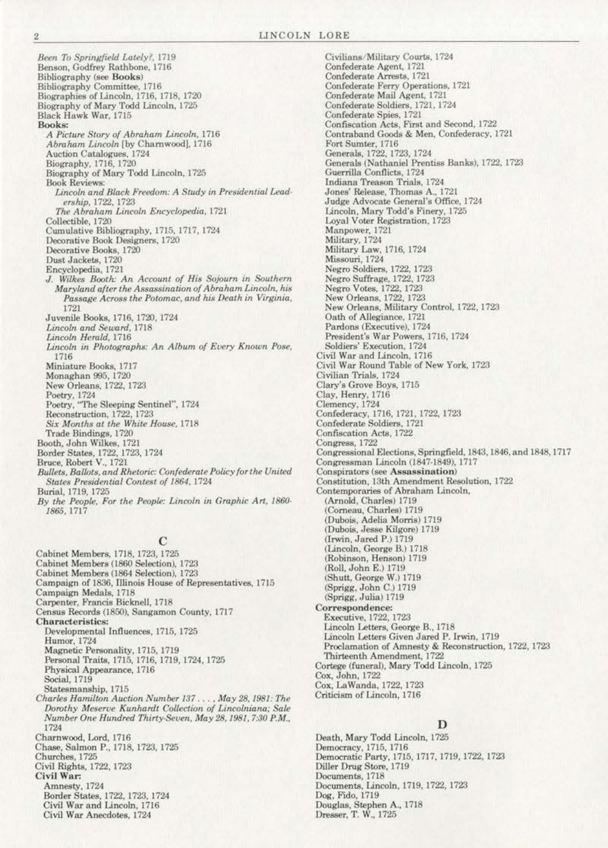Been To Springfield Lately?, 1719 Benson, Godfrey Rathbone, 1716 **Bibliography** (see Books) Bibliography Committee, 1716 Biographies of Lincoln, 1716, 1718, 1720 Biography of Mary Todd Lincoln, 1725 Black Hawk War, 1715 Books: A Picture Story of Abraham Lincoln, 1716 Abraham Lincoln [by Charnwood], 1716 Auction Catalogues, 1724 Biography, 1716, 1720<br>Biography of Mary Todd Lincoln, 1725 **Book Reviews:** Lincoln and Black Freedom: A Study in Presidential Leadership, 1722, 1723 The Abraham Lincoln Encyclopedia, 1721 Collectible, 1720 Cumulative Bibliography, 1715, 1717, 1724 Decorative Book Designers, 1720 Decorative Books, 1720 Dust Jackets, 1720 Encyclopedia, 1721 J. Wilkes Booth: An Account of His Sojourn in Southern Maryland after the Assassination of Abraham Lincoln, his Passage Across the Potomac, and his Death in Virginia, 1721 Juvenile Books, 1716, 1720, 1724 Lincoln and Seward, 1718 Lincoln Herald, 1716 Lincoln in Photographs: An Album of Every Known Pose, 1716 Miniature Books, 1717 Monaghan 995, 1720 New Orleans, 1722, 1723 Poetry, 1724<br>Poetry, "The Sleeping Sentinel", 1724 Reconstruction, 1722, 1723 Six Months at the White House, 1718 Trade Bindings, 1720 Booth, John Wilkes, 1721 Border States, 1722, 1723, 1724<br>Bruce, Robert V., 1721 Bullets, Ballots, and Rhetoric: Confederate Policy for the United States Presidential Contest of 1864, 1724 Burial, 1719, 1725

By the People, For the People: Lincoln in Graphic Art, 1860-1865, 1717

# $\Gamma$

Cabinet Members, 1718, 1723, 1725 Cabinet Members (1860 Selection), 1723 Cabinet Members (1864 Selection), 1723 Campaign of 1836, Illinois House of Representatives, 1715 Campaign Medals, 1718 Carpenter, Francis Bicknell, 1718 Census Records (1850), Sangamon County, 1717 Characteristics: Developmental Influences, 1715, 1725 Humor, 1724 Magnetic Personality, 1715, 1719 Personal Traits, 1715, 1716, 1719, 1724, 1725 Physical Appearance, 1716 Social, 1719 Statesmanship, 1715 Charles Hamilton Auction Number 137 ..., May 28, 1981: The Dorothy Meserve Kunhardt Collection of Lincolniana; Sale Number One Hundred Thirty-Seven, May 28, 1981, 7:30 P.M., 1724 Charnwood, Lord, 1716 Chase, Salmon P., 1718, 1723, 1725 Churches, 1725 Civil Rights, 1722, 1723 Civil War: Amnesty, 1724 Border States, 1722, 1723, 1724 Civil War and Lincoln, 1716 Civil War Anecdotes, 1724

Civilians/Military Courts, 1724 Confederate Agent, 1721 Confederate Arrests, 1721 Confederate Ferry Operations, 1721<br>Confederate Mail Agent, 1721 Confederate Soldiers, 1721, 1724 Confederate Spies, 1721 Confiscation Acts, First and Second, 1722 Contraband Goods & Men, Confederacy, 1721 Fort Sumter, 1716 Generals, 1722, 1723, 1724<br>Generals (Nathaniel Prentiss Banks), 1722, 1723 Guerrilla Conflicts, 1724 Indiana Treason Trials, 1724 Jones' Release, Thomas A., 1721 Judge Advocate General's Office, 1724 Lincoln, Mary Todd's Finery, 1725 Loyal Voter Registration, 1723 Manpower, 1721 Military, 1724 Military Law, 1716, 1724 Missouri, 1724 Negro Soldiers, 1722, 1723 Negro Suffrage, 1722, 1723<br>Negro Votes, 1722, 1723 New Orleans, 1722, 1723<br>New Orleans, Military Control, 1722, 1723 Oath of Allegiance, 1721 Pardons (Executive), 1724 President's War Powers, 1716, 1724 Soldiers' Execution, 1724 Civil War and Lincoln, 1716 Civil War Round Table of New York, 1723 Civilian Trials, 1724 Clary's Grove Boys, 1715<br>Clay, Henry, 1716 Clemency, 1724 Confederacy, 1716, 1721, 1722, 1723 Confederate Soldiers, 1721 Confiscation Acts, 1722 Congress, 1722 Congressional Elections, Springfield, 1843, 1846, and 1848, 1717 Congressman Lincoln (1847-1849), 1717 Conspirators (see Assassination) Constitution, 13th Amendment Resolution, 1722<br>Contemporaries of Abraham Lincoln, (Arnold, Charles) 1719 (Corneau, Charles) 1719 (Dubois, Adelia Morris) 1719 (Dubois, Jesse Kilgore) 1719 (Irwin, Jared P.) 1719 (Lincoln, George B.) 1718 (Robinson, Henson) 1719 (Roll, John E.) 1719 (Shutt, George W.) 1719 (Sprigg, John C.) 1719<br>(Sprigg, Julia) 1719 Correspondence: Executive, 1722, 1723 Lincoln Letters, George B., 1718 Lincoln Letters Given Jared P. Irwin, 1719 Proclamation of Amnesty & Reconstruction, 1722, 1723 Thirteenth Amendment, 1722 Cortege (funeral), Mary Todd Lincoln, 1725 Cox, John, 1722 Cox, LaWanda, 1722, 1723 Criticism of Lincoln, 1716

# D

Death, Mary Todd Lincoln, 1725 Democracy, 1715, 1716 Democratic Party, 1715, 1717, 1719, 1722, 1723 Diller Drug Store, 1719 Documents, 1718 Documents, Lincoln, 1719, 1722, 1723 Dog, Fido, 1719 Douglas, Stephen A., 1718<br>Dresser, T. W., 1725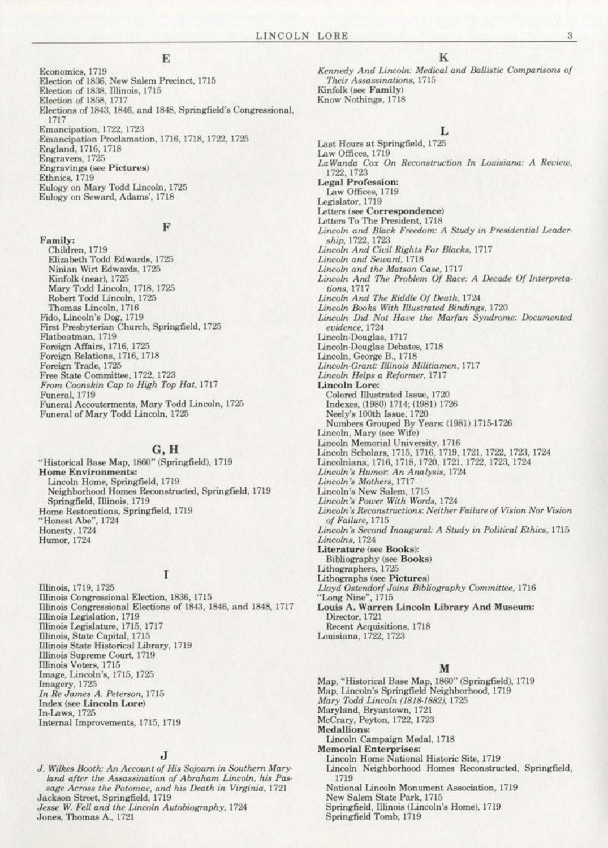Economics, 1719 Election of 1836, New Salem Precinct, 1715 Election of 1838, Illinois, 1715 Election of 1858, 1717 Elections of 1843, 1846, and 1848, Springfield's Congressional, 1717 Emancipation, 1722, 1723 Emancipation Proclamation, 1716, 1718, 1722, 1725 England, 1716, 1718 Engravers, 1725 **Engravings** (see Pictures) Ethnics, 1719 Eulogy on Mary Todd Lincoln, 1725 Eulogy on Seward, Adams', 1718

#### F

Family: Children, 1719<br>Elizabeth Todd Edwards, 1725 Ninian Wirt Edwards, 1725 Kinfolk (near), 1725 Mary Todd Lincoln, 1718, 1725 Robert Todd Lincoln, 1725 Thomas Lincoln, 1716 Fido, Lincoln's Dog, 1719<br>First Presbyterian Church, Springfield, 1725 Flatboatman, 1719 Foreign Affairs, 1716, 1725 Foreign Relations, 1716, 1718 Foreign Trade, 1725 Free State Committee, 1722, 1723 From Coonskin Cap to High Top Hat, 1717 Funeral, 1719 Funeral Accouterments, Mary Todd Lincoln, 1725 Funeral of Mary Todd Lincoln, 1725

#### $G, H$

"Historical Base Map, 1860" (Springfield), 1719 **Home Environments:** Lincoln Home, Springfield, 1719<br>Neighborhood Homes Reconstructed, Springfield, 1719 Springfield, Illinois, 1719 Home Restorations, Springfield, 1719 "Honest Abe", 1724<br>Honesty, 1724 Humor, 1724

# I

Illinois, 1719, 1725 Illinois Congressional Election, 1836, 1715 Illinois Congressional Elections of 1843, 1846, and 1848, 1717 Illinois Legislation, 1719<br>Illinois Legislature, 1715, 1717 Illinois, State Capital, 1715 Illinois State Historical Library, 1719 Illinois Supreme Court, 1719 Illinois Voters, 1715 Image, Lincoln's, 1715, 1725 Imagery, 1725 In Re James A. Peterson, 1715 Index (see Lincoln Lore) In-Laws, 1725 Internal Improvements, 1715, 1719

# J

J. Wilkes Booth: An Account of His Sojourn in Southern Maryland after the Assassination of Abraham Lincoln, his Passage Across the Potomac, and his Death in Virginia, 1721 Jackson Street, Springfield, 1719 Jesse W. Fell and the Lincoln Autobiography, 1724 Jones, Thomas A., 1721

K

Kennedy And Lincoln: Medical and Ballistic Comparisons of Their Assassinations, 1715 Kinfolk (see Family) Know Nothings, 1718

# L

Last Hours at Springfield, 1725 Law Offices, 1719 LaWanda Cox On Reconstruction In Louisiana: A Review, 1722, 1723 **Legal Profession:** Law Offices, 1719 Legislator, 1719 Letters (see Correspondence) Letters To The President, 1718 Lincoln and Black Freedom: A Study in Presidential Leadership, 1722, 1723 Lincoln And Civil Rights For Blacks, 1717 Lincoln and Seward, 1718 Lincoln and the Matson Case, 1717 Lincoln And The Problem Of Race: A Decade Of Interpretations, 1717 Lincoln And The Riddle Of Death, 1724 Lincoln Books With Illustrated Bindings, 1720 Lincoln Did Not Have the Marfan Syndrome: Documented evidence, 1724 Lincoln-Douglas, 1717 Lincoln-Douglas Debates, 1718 Lincoln, George B., 1718<br>Lincoln-Grant: Illinois Militiamen, 1717 Lincoln Helps a Reformer, 1717 **Lincoln Lore:** Colored Illustrated Issue, 1720 Indexes, (1980) 1714; (1981) 1726 Neely's 100th Issue, 1720 Numbers Grouped By Years: (1981) 1715-1726 Lincoln, Mary (see Wife) Lincoln Memorial University, 1716 Lincoln Scholars, 1715, 1716, 1719, 1721, 1722, 1723, 1724<br>Lincolniana, 1716, 1718, 1720, 1721, 1722, 1723, 1724 Lincoln's Humor: An Analysis, 1724 Lincoln's Mothers, 1717 Lincoln's New Salem, 1715 Lincoln's Power With Words, 1724 Lincoln's Reconstructions: Neither Failure of Vision Nor Vision of Failure, 1715 Lincoln's Second Inaugural: A Study in Political Ethics, 1715 Lincolns, 1724 Literature (see Books): Bibliography (see Books) Lithographers, 1725 Lithographs (see Pictures) Lloyd Ostendorf Joins Bibliography Committee, 1716 "Long Nine", 1715 Louis A. Warren Lincoln Library And Museum: Director, 1721 Recent Acquisitions, 1718 Louisiana, 1722, 1723

#### M

Map, "Historical Base Map, 1860" (Springfield), 1719 Map, Lincoln's Springfield Neighborhood, 1719 Mary Todd Lincoln (1818-1882), 1725 Maryland, Bryantown, 1721 McCrary, Peyton, 1722, 1723 **Medallions:** Lincoln Campaign Medal, 1718 **Memorial Enterprises:** Lincoln Home National Historic Site, 1719 Lincoln Neighborhood Homes Reconstructed, Springfield, 1719 National Lincoln Monument Association, 1719 New Salem State Park, 1715

Springfield, Illinois (Lincoln's Home), 1719 Springfield Tomb, 1719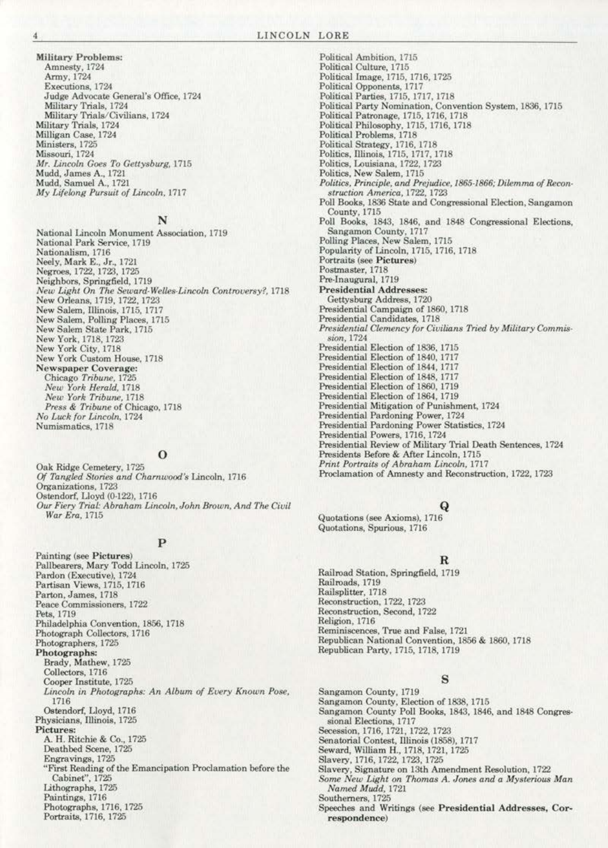Military Problems:<br>Amnesty, 1724 Army, 1724 Executions, 1724 Judge Advocate General's Office, 1724 Military Trials, 1724 Military Trials/Civilians, 1724 Military Trials, 1724<br>Milligan Case, 1724 Ministers, 1725 Missouri, 1724 Mr. Lincoln Goes To Gettysburg, 1715 Mudd, James A., 1721 Mudd, Samuel A., 1721 My Lifelong Pursuit of Lincoln, 1717

#### N

National Lincoln Monument Association, 1719 National Park Service, 1719 Nationalism, 1716 Neely, Mark E., Jr., 1721<br>Negroes, 1722, 1723, 1725 Neighbors, Springfield, 1719 New Light On The Seward-Welles-Lincoln Controversy?, 1718 New Orleans, 1719, 1722, 1723<br>New Salem, Illinois, 1715, 1717 New Salem, Polling Places, 1715 New Salem State Park, 1715 New York, 1718, 1723<br>New York City, 1718 New York Custom House, 1718 Newspaper Coverage:<br>Chicago Tribune, 1725 New York Herald, 1718 New York Tribune, 1718 Press & Tribune of Chicago, 1718 No Luck for Lincoln, 1724 Numismatics, 1718

# $\mathbf o$

Oak Ridge Cemetery, 1725 Of Tangled Stories and Charnwood's Lincoln, 1716 Organizations, 1723 Ostendorf, Lloyd (0-122), 1716 Our Fiery Trial: Abraham Lincoln, John Brown, And The Civil War Era, 1715

# P

Painting (see Pictures) Pallbearers, Mary Todd Lincoln, 1725 Pardon (Executive), 1724 Partisan Views, 1715, 1716 Parton, James, 1718<br>Peace Commissioners, 1722 Pets, 1719 Philadelphia Convention, 1856, 1718 Photograph Collectors, 1716 Photographers, 1725 Photographs: Brady, Mathew, 1725 Collectors, 1716 Cooper Institute, 1725 Lincoln in Photographs: An Album of Every Known Pose, 1716 Ostendorf, Lloyd, 1716<br>Physicians, Illinois, 1725 **Pictures:** A. H. Ritchie & Co., 1725 Deathbed Scene, 1725 Engravings, 1725 "First Reading of the Emancipation Proclamation before the Cabinet", 1725 Lithographs, 1725 Paintings, 1716 Photographs, 1716, 1725 Portraits, 1716, 1725

Political Ambition, 1715 Political Culture, 1715 Political Image, 1715, 1716, 1725 Political Opponents, 1717 Political Parties, 1715, 1717, 1718<br>Political Party Nomination, Convention System, 1836, 1715 Political Patronage, 1715, 1716, 1718 Political Philosophy, 1715, 1716, 1718<br>Political Problems, 1718 Political Strategy, 1716, 1718<br>Politics, Illinois, 1715, 1717, 1718 Politics, Louisiana, 1722, 1723 Politics, New Salem, 1715 Politics, Principle, and Prejudice, 1865-1866; Dilemma of Reconstruction America, 1722, 1723 Poll Books, 1836 State and Congressional Election, Sangamon County, 1715 Poll Books, 1843, 1846, and 1848 Congressional Elections, Sangamon County, 1717<br>Polling Places, New Salem, 1715 Popularity of Lincoln, 1715, 1716, 1718 Portraits (see Pictures) Postmaster, 1718 Pre-Inaugural, 1719 **Presidential Addresses:** Gettysburg Address, 1720 Presidential Campaign of 1860, 1718 Presidential Candidates, 1718 Presidential Clemency for Civilians Tried by Military Commission, 1724 Presidential Election of 1836, 1715 Presidential Election of 1840, 1717 Presidential Election of 1844, 1717 Presidential Election of 1848, 1717 Presidential Election of 1860, 1719 Presidential Election of 1864, 1719 Presidential Mitigation of Punishment, 1724 Presidential Pardoning Power, 1724 Presidential Pardoning Power Statistics, 1724<br>Presidential Powers, 1716, 1724 Presidential Review of Military Trial Death Sentences, 1724 Presidents Before & After Lincoln, 1715 Print Portraits of Abraham Lincoln, 1717<br>Proclamation of Amnesty and Reconstruction, 1722, 1723

# Q

Quotations (see Axioms), 1716 Quotations, Spurious, 1716

# R

Railroad Station, Springfield, 1719 Railroads, 1719 Railsplitter, 1718 Reconstruction, 1722, 1723 Reconstruction, Second, 1722 Religion, 1716 Reminiscences, True and False, 1721 Republican National Convention, 1856 & 1860, 1718 Republican Party, 1715, 1718, 1719

# S

Sangamon County, 1719 Sangamon County, Election of 1838, 1715<br>Sangamon County Poll Books, 1843, 1846, and 1848 Congressional Elections, 1717 Secession, 1716, 1721, 1722, 1723 Senatorial Contest, Illinois (1858), 1717 Seward, William H., 1718, 1721, 1725 Slavery, 1716, 1722, 1723, 1725 Slavery, Signature on 13th Amendment Resolution, 1722<br>Some New Light on Thomas A. Jones and a Mysterious Man Named Mudd, 1721 Southerners, 1725 Speeches and Writings (see Presidential Addresses, Correspondence)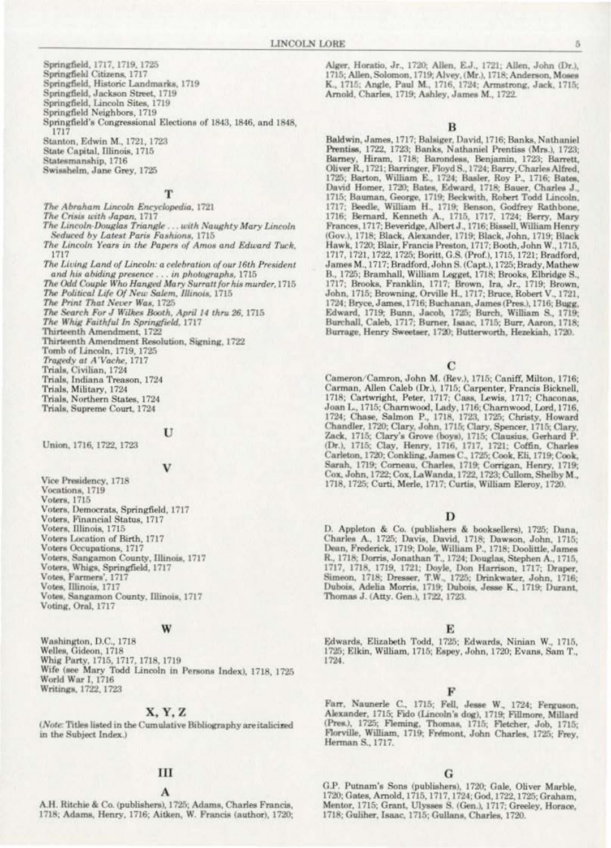Springfield, 1717, 1719, 1725

Springfield Citizens, 1717

Springfield, Historic Landmarks, 1719

Springfield, Jackson Street, 1719

Springfield, Lincoln Sites, 1719

Springfield Neighbors, 1719

Springfield's Congressional Elections of 1843, 1846, and 1848, 1717

Stanton, Edwin M., 1721, 1723 State Capital, Illinois, 1715

Statesmanship, 1716

Swisshelm, Jane Grey, 1725

# T

The Abraham Lincoln Encyclopedia, 1721

The Crisis with Japan, 1717

The Lincoln-Douglas Triangle ... with Naughty Mary Lincoln Seduced by Latest Paris Fashions, 1715

The Lincoln Years in the Papers of Amos and Edward Tuck, 1717

- The Living Land of Lincoln: a celebration of our 16th President and his abiding presence . . . in photographs, 1715
- The Odd Couple Who Hanged Mary Surratt for his murder, 1715 The Political Life Of New Salem, Illinois, 1715

The Print That Never Was, 1725

The Search For J Wilkes Booth, April 14 thru 26, 1715

The Whig Faithful In Springfield, 1717

Thirteenth Amendment, 1722

Thirteenth Amendment Resolution, Signing, 1722 Tomb of Lincoln, 1719, 1725 Tragedy at A'Vache, 1717 Trials, Civilian, 1724 Trials, Indiana Treason, 1724 Trials, Military, 1724 Trials, Northern States, 1724 Trials, Supreme Court, 1724

#### U

Union, 1716, 1722, 1723

#### v

Vice Presidency, 1718 Vocations, 1719 Voters, 1715 Voters, Democrats, Springfield, 1717 Voters, Financial Status, 1717 Voters, Illinois, 1715 Voters Location of Birth, 1717 Voters Occupations, 1717<br>Voters, Sangamon County, Illinois, 1717 Voters, Whigs, Springfield, 1717 Votes, Farmers', 1717 Votes, Illinois, 1717 Votes, Sangamon County, Illinois, 1717 Voting, Oral, 1717

#### W

Washington, D.C., 1718 Welles, Gideon, 1718 Whig Party, 1715, 1717, 1718, 1719<br>Wife (see Mary Todd Lincoln in Persons Index), 1718, 1725 World War I, 1716 Writings, 1722, 1723

# X, Y, Z

(Note: Titles listed in the Cumulative Bibliography are italicized in the Subject Index.)

#### Ш

A.H. Ritchie & Co. (publishers), 1725; Adams, Charles Francis, 1718; Adams, Henry, 1716; Aitken, W. Francis (author), 1720; Alger, Horatio, Jr., 1720; Allen, E.J., 1721; Allen, John (Dr.), 1715; Allen, Solomon, 1719; Alvey, (Mr.), 1718; Anderson, Moses<br>K., 1715; Angle, Paul M., 1716, 1724; Armstrong, Jack, 1715; Arnold, Charles, 1719; Ashley, James M., 1722.

в

Baldwin, James, 1717; Balsiger, David, 1716; Banks, Nathaniel Prentiss, 1722, 1723; Banks, Nathaniel Prentiss (Mrs.), 1723; Barney, Hiram, 1718; Barondess, Benjamin, 1723; Barrett, Oliver R., 1721; Barringer, Floyd S., 1724; Barry, Charles Alfred, 1725; Barton, William E., 1724; Basler, Roy P., 1716; Bates, David Homer, 1720; Bates, Edward, 1718; Bauer, Charles J., 1715; Bauman, George, 1719; Beckwith, Robert Todd Lincoln, 1717; Beedle, William H., 1719; Benson, Godfrey Rathbone, 1716; Bernard, Kenneth A., 1715, 1717, 1724; Berry, Mary Frances, 1717; Beveridge, Albert J., 1716; Bissell, William Henry (Gov.), 1718; Black, Alexander, 1719; Black, John, 1719; Black Hawk, 1720; Blair, Francis Preston, 1717; Booth, John W., 1715, 1717, 1721, 1722, 1725; Boritt, G.S. (Prof.), 1715, 1721; Bradford, James M., 1717; Bradford, John S. (Capt.), 1725; Brady, Mathew B., 1725; Bramhall, William Legget, 1718; Brooks, Elbridge S., 1717; Brooks, Franklin, 1717; Brown, Ira, Jr., 1719; Brown, John, 1715; Browning, Orville H., 1717; Bruce, Robert V., 1721, 1724; Bryce, James, 1716; Buchanan, James (Pres.), 1716; Bugg, Edward, 1719; Bunn, Jacob, 1725; Burch, William S., 1719; Burchall, Caleb, 1717; Burner, Isaac, 1715; Burr, Aaron, 1718; Burrage, Henry Sweetser, 1720; Butterworth, Hezekiah, 1720.

C

Cameron/Camron, John M. (Rev.), 1715; Caniff, Milton, 1716; Carman, Allen Caleb (Dr.), 1715; Carpenter, Francis Bicknell, 1718; Cartwright, Peter, 1717; Cass, Lewis, 1717; Chaconas, Joan L., 1715; Charnwood, Lady, 1716; Charnwood, Lord, 1716, 1724; Chase, Salmon P., 1718, 1723, 1725; Christy, Howard Chandler, 1720; Clary, John, 1715; Clary, Spencer, 1715; Clary, Zack, 1715; Clary's Grove (boys), 1715; Clausius, Gerhard P. (Dr.), 1715; Clay, Henry, 1716, 1717, 1721; Coffin, Charles Carleton, 1720; Conkling, James C., 1725; Cook, Eli, 1719; Cook, Sarah, 1719; Corneau, Charles, 1719; Corrigan, Henry, 1719; Cox, John, 1722; Cox, LaWanda, 1722, 1723; Cullom, Shelby M., 1718, 1725; Curti, Merle, 1717; Curtis, William Eleroy, 1720.

#### D

D. Appleton & Co. (publishers & booksellers), 1725; Dana, Charles A., 1725; Davis, David, 1718; Dawson, John, 1715; Dean, Frederick, 1719; Dole, William P., 1718; Doolittle, James<br>R., 1718; Dorris, Jonathan T., 1724; Douglas, Stephen A., 1715, 1717, 1718, 1719, 1721; Doyle, Don Harrison, 1717; Draper, Simeon, 1718; Dresser, T.W., 1725; Drinkwater, John, 1716; Dubois, Adelia Morris, 1719; Dubois, Jesse K., 1719; Durant, Thomas J. (Atty. Gen.), 1722, 1723.

#### Е

Edwards, Elizabeth Todd, 1725; Edwards, Ninian W., 1715, 1725; Elkin, William, 1715; Espey, John, 1720; Evans, Sam T., 1724.

Farr, Naunerle C., 1715; Fell, Jesse W., 1724; Ferguson, Alexander, 1715; Fido (Lincoln's dog), 1719; Fillmore, Millard (Pres.), 1725; Fleming, Thomas, 1715; Fletcher, Job, 1715; Florville, William, 1719; Fremont, John Charles, 1725; Frey, Herman S., 1717.

#### G

G.P. Putnam's Sons (publishers), 1720; Gale, Oliver Marble, 1720; Gates, Arnold, 1715, 1717, 1724; God, 1722, 1725; Graham, Mentor, 1715; Grant, Ulysses S. (Gen.), 1717; Greeley, Horace, 1718; Guliher, Isaac, 1715; Gullans, Charles, 1720.